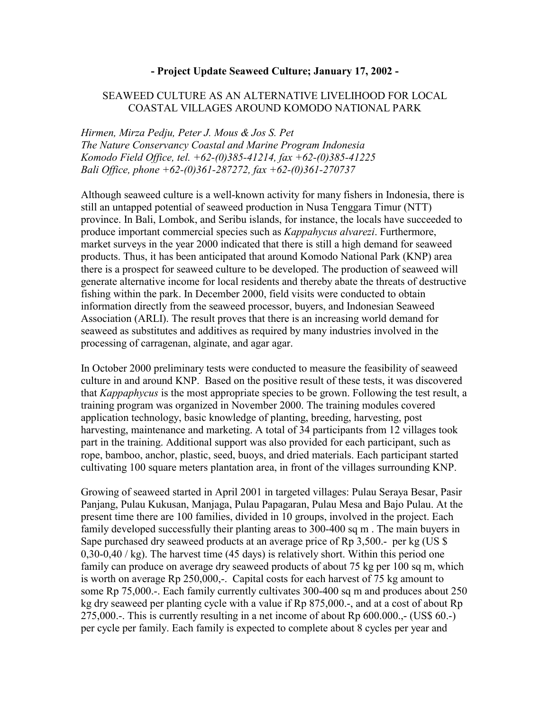## **- Project Update Seaweed Culture; January 17, 2002 -**

## SEAWEED CULTURE AS AN ALTERNATIVE LIVELIHOOD FOR LOCAL COASTAL VILLAGES AROUND KOMODO NATIONAL PARK

*Hirmen, Mirza Pedju, Peter J. Mous & Jos S. Pet The Nature Conservancy Coastal and Marine Program Indonesia Komodo Field Office, tel. +62-(0)385-41214, fax +62-(0)385-41225 Bali Office, phone +62-(0)361-287272, fax +62-(0)361-270737*

Although seaweed culture is a well-known activity for many fishers in Indonesia, there is still an untapped potential of seaweed production in Nusa Tenggara Timur (NTT) province. In Bali, Lombok, and Seribu islands, for instance, the locals have succeeded to produce important commercial species such as *Kappahycus alvarezi*. Furthermore, market surveys in the year 2000 indicated that there is still a high demand for seaweed products. Thus, it has been anticipated that around Komodo National Park (KNP) area there is a prospect for seaweed culture to be developed. The production of seaweed will generate alternative income for local residents and thereby abate the threats of destructive fishing within the park. In December 2000, field visits were conducted to obtain information directly from the seaweed processor, buyers, and Indonesian Seaweed Association (ARLI). The result proves that there is an increasing world demand for seaweed as substitutes and additives as required by many industries involved in the processing of carragenan, alginate, and agar agar.

In October 2000 preliminary tests were conducted to measure the feasibility of seaweed culture in and around KNP. Based on the positive result of these tests, it was discovered that *Kappaphycus* is the most appropriate species to be grown. Following the test result, a training program was organized in November 2000. The training modules covered application technology, basic knowledge of planting, breeding, harvesting, post harvesting, maintenance and marketing. A total of 34 participants from 12 villages took part in the training. Additional support was also provided for each participant, such as rope, bamboo, anchor, plastic, seed, buoys, and dried materials. Each participant started cultivating 100 square meters plantation area, in front of the villages surrounding KNP.

Growing of seaweed started in April 2001 in targeted villages: Pulau Seraya Besar, Pasir Panjang, Pulau Kukusan, Manjaga, Pulau Papagaran, Pulau Mesa and Bajo Pulau. At the present time there are 100 families, divided in 10 groups, involved in the project. Each family developed successfully their planting areas to 300-400 sq m . The main buyers in Sape purchased dry seaweed products at an average price of Rp 3,500.- per kg (US \$ 0,30-0,40 / kg). The harvest time (45 days) is relatively short. Within this period one family can produce on average dry seaweed products of about 75 kg per 100 sq m, which is worth on average Rp 250,000,-. Capital costs for each harvest of 75 kg amount to some Rp 75,000.-. Each family currently cultivates 300-400 sq m and produces about 250 kg dry seaweed per planting cycle with a value if Rp 875,000.-, and at a cost of about Rp 275,000.-. This is currently resulting in a net income of about Rp 600.000.,- (US\$ 60.-) per cycle per family. Each family is expected to complete about 8 cycles per year and